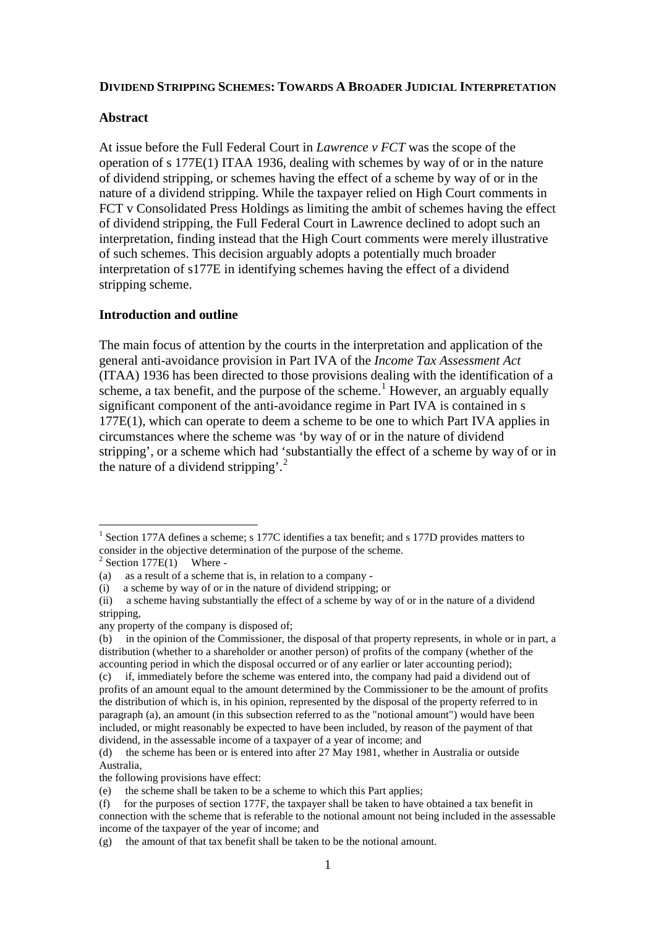#### **DIVIDEND STRIPPING SCHEMES: TOWARDS A BROADER JUDICIAL INTERPRETATION**

#### **Abstract**

At issue before the Full Federal Court in *Lawrence v FCT* was the scope of the operation of s 177E(1) ITAA 1936, dealing with schemes by way of or in the nature of dividend stripping, or schemes having the effect of a scheme by way of or in the nature of a dividend stripping. While the taxpayer relied on High Court comments in FCT v Consolidated Press Holdings as limiting the ambit of schemes having the effect of dividend stripping, the Full Federal Court in Lawrence declined to adopt such an interpretation, finding instead that the High Court comments were merely illustrative of such schemes. This decision arguably adopts a potentially much broader interpretation of s177E in identifying schemes having the effect of a dividend stripping scheme.

### **Introduction and outline**

The main focus of attention by the courts in the interpretation and application of the general anti-avoidance provision in Part IVA of the *Income Tax Assessment Act* (ITAA) 1936 has been directed to those provisions dealing with the identification of a scheme, a tax benefit, and the purpose of the scheme.<sup>[1](#page-0-0)</sup> However, an arguably equally significant component of the anti-avoidance regime in Part IVA is contained in s 177E(1), which can operate to deem a scheme to be one to which Part IVA applies in circumstances where the scheme was 'by way of or in the nature of dividend stripping', or a scheme which had 'substantially the effect of a scheme by way of or in the nature of a dividend stripping'. [2](#page-0-1)

<span id="page-0-0"></span><sup>&</sup>lt;sup>1</sup> Section 177A defines a scheme; s 177C identifies a tax benefit; and s 177D provides matters to consider in the objective determination of the purpose of the scheme.<br>
<sup>2</sup> Section 177E(1) Where -<br>
(a) as a result of a scheme that is, in relation to a company -

<span id="page-0-1"></span>

as a result of a scheme that is, in relation to a company -

<sup>(</sup>i) a scheme by way of or in the nature of dividend stripping; or

<sup>(</sup>ii) a scheme having substantially the effect of a scheme by way of or in the nature of a dividend stripping,

any property of the company is disposed of;

<sup>(</sup>b) in the opinion of the Commissioner, the disposal of that property represents, in whole or in part, a distribution (whether to a shareholder or another person) of profits of the company (whether of the accounting period in which the disposal occurred or of any earlier or later accounting period);

<sup>(</sup>c) if, immediately before the scheme was entered into, the company had paid a dividend out of profits of an amount equal to the amount determined by the Commissioner to be the amount of profits the distribution of which is, in his opinion, represented by the disposal of the property referred to in paragraph (a), an amount (in this subsection referred to as the "notional amount") would have been included, or might reasonably be expected to have been included, by reason of the payment of that dividend, in the assessable income of a taxpayer of a year of income; and

<sup>(</sup>d) the scheme has been or is entered into after 27 May 1981, whether in Australia or outside Australia,

the following provisions have effect:

<sup>(</sup>e) the scheme shall be taken to be a scheme to which this Part applies;

<sup>(</sup>f) for the purposes of section 177F, the taxpayer shall be taken to have obtained a tax benefit in connection with the scheme that is referable to the notional amount not being included in the assessable income of the taxpayer of the year of income; and

<sup>(</sup>g) the amount of that tax benefit shall be taken to be the notional amount.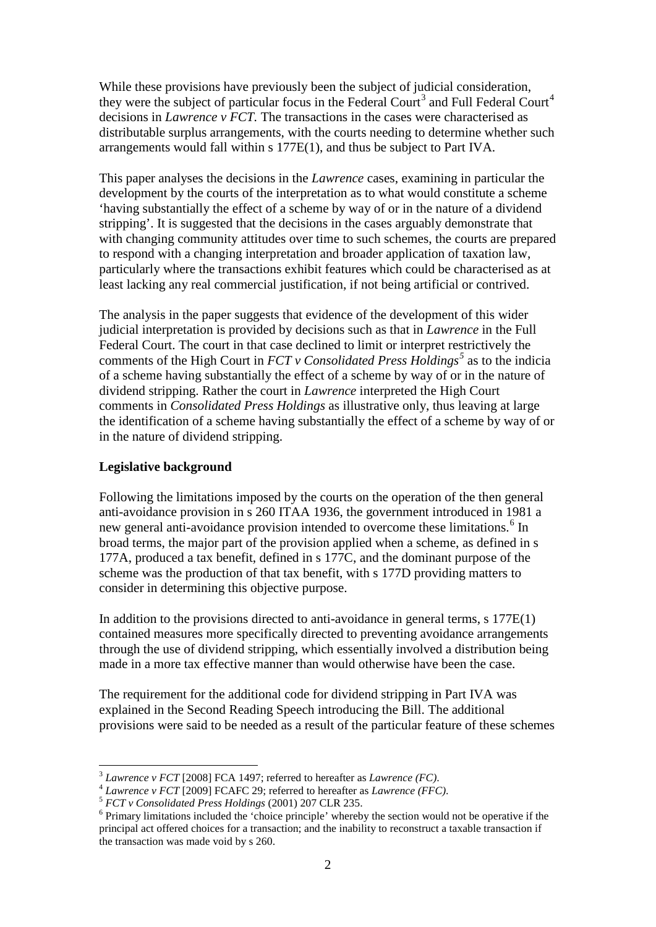While these provisions have previously been the subject of judicial consideration, they were the subject of particular focus in the Federal Court<sup>[3](#page-1-0)</sup> and Full Federal Court<sup>[4](#page-1-1)</sup> decisions in *Lawrence v FCT.* The transactions in the cases were characterised as distributable surplus arrangements, with the courts needing to determine whether such arrangements would fall within s 177E(1), and thus be subject to Part IVA.

This paper analyses the decisions in the *Lawrence* cases, examining in particular the development by the courts of the interpretation as to what would constitute a scheme 'having substantially the effect of a scheme by way of or in the nature of a dividend stripping'. It is suggested that the decisions in the cases arguably demonstrate that with changing community attitudes over time to such schemes, the courts are prepared to respond with a changing interpretation and broader application of taxation law, particularly where the transactions exhibit features which could be characterised as at least lacking any real commercial justification, if not being artificial or contrived.

The analysis in the paper suggests that evidence of the development of this wider judicial interpretation is provided by decisions such as that in *Lawrence* in the Full Federal Court. The court in that case declined to limit or interpret restrictively the comments of the High Court in *FCT v Consolidated Press Holdings[5](#page-1-2)* as to the indicia of a scheme having substantially the effect of a scheme by way of or in the nature of dividend stripping. Rather the court in *Lawrence* interpreted the High Court comments in *Consolidated Press Holdings* as illustrative only, thus leaving at large the identification of a scheme having substantially the effect of a scheme by way of or in the nature of dividend stripping.

### **Legislative background**

Following the limitations imposed by the courts on the operation of the then general anti-avoidance provision in s 260 ITAA 1936, the government introduced in 1981 a new general anti-avoidance provision intended to overcome these limitations.<sup>[6](#page-1-3)</sup> In broad terms, the major part of the provision applied when a scheme, as defined in s 177A, produced a tax benefit, defined in s 177C, and the dominant purpose of the scheme was the production of that tax benefit, with s 177D providing matters to consider in determining this objective purpose.

In addition to the provisions directed to anti-avoidance in general terms, s 177E(1) contained measures more specifically directed to preventing avoidance arrangements through the use of dividend stripping, which essentially involved a distribution being made in a more tax effective manner than would otherwise have been the case.

The requirement for the additional code for dividend stripping in Part IVA was explained in the Second Reading Speech introducing the Bill. The additional provisions were said to be needed as a result of the particular feature of these schemes

<span id="page-1-1"></span>

<span id="page-1-3"></span><span id="page-1-2"></span>

<span id="page-1-0"></span><sup>&</sup>lt;sup>3</sup> Lawrence v FCT [2008] FCA 1497; referred to hereafter as Lawrence (FC).<br>
<sup>4</sup> Lawrence v FCT [2009] FCAFC 29; referred to hereafter as Lawrence (FFC).<br>
<sup>5</sup> FCT v Consolidated Press Holdings (2001) 207 CLR 235.<br>
<sup>6</sup> Pri principal act offered choices for a transaction; and the inability to reconstruct a taxable transaction if the transaction was made void by s 260.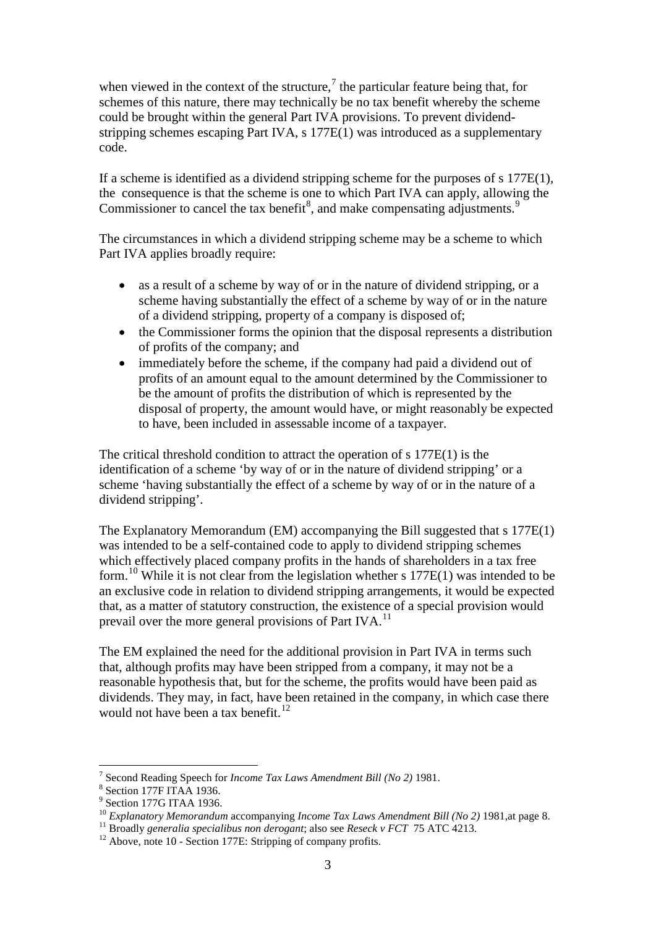when viewed in the context of the structure,<sup>[7](#page-2-0)</sup> the particular feature being that, for schemes of this nature, there may technically be no tax benefit whereby the scheme could be brought within the general Part IVA provisions. To prevent dividendstripping schemes escaping Part IVA, s 177E(1) was introduced as a supplementary code.

If a scheme is identified as a dividend stripping scheme for the purposes of s 177E(1), the consequence is that the scheme is one to which Part IVA can apply, allowing the Commissioner to cancel the tax benefit<sup>[8](#page-2-1)</sup>, and make compensating adjustments.<sup>[9](#page-2-2)</sup>

The circumstances in which a dividend stripping scheme may be a scheme to which Part IVA applies broadly require:

- as a result of a scheme by way of or in the nature of dividend stripping, or a scheme having substantially the effect of a scheme by way of or in the nature of a dividend stripping, property of a company is disposed of;
- the Commissioner forms the opinion that the disposal represents a distribution of profits of the company; and
- immediately before the scheme, if the company had paid a dividend out of profits of an amount equal to the amount determined by the Commissioner to be the amount of profits the distribution of which is represented by the disposal of property, the amount would have, or might reasonably be expected to have, been included in assessable income of a taxpayer.

The critical threshold condition to attract the operation of s 177E(1) is the identification of a scheme 'by way of or in the nature of dividend stripping' or a scheme 'having substantially the effect of a scheme by way of or in the nature of a dividend stripping'.

The Explanatory Memorandum (EM) accompanying the Bill suggested that s 177E(1) was intended to be a self-contained code to apply to dividend stripping schemes which effectively placed company profits in the hands of shareholders in a tax free form.[10](#page-2-3) While it is not clear from the legislation whether s 177E(1) was intended to be an exclusive code in relation to dividend stripping arrangements, it would be expected that, as a matter of statutory construction, the existence of a special provision would prevail over the more general provisions of Part IVA.<sup>[11](#page-2-4)</sup>

The EM explained the need for the additional provision in Part IVA in terms such that, although profits may have been stripped from a company, it may not be a reasonable hypothesis that, but for the scheme, the profits would have been paid as dividends. They may, in fact, have been retained in the company, in which case there would not have been a tax benefit.<sup>[12](#page-2-5)</sup>

<span id="page-2-0"></span><sup>&</sup>lt;sup>7</sup> Second Reading Speech for *Income Tax Laws Amendment Bill (No 2)* 1981. <sup>8</sup> Section 177F ITAA 1936.

<span id="page-2-3"></span><span id="page-2-2"></span><span id="page-2-1"></span><sup>&</sup>lt;sup>9</sup> Section 177G ITAA 1936.<br><sup>10</sup> Explanatory Memorandum accompanying *Income Tax Laws Amendment Bill* (No 2) 1981, at page 8.

<span id="page-2-4"></span><sup>&</sup>lt;sup>11</sup> Broadly generalia specialibus non derogant; also see Reseck v FCT 75 ATC 4213.<br><sup>12</sup> Above, note 10 - Section 177E: Stripping of company profits.

<span id="page-2-5"></span>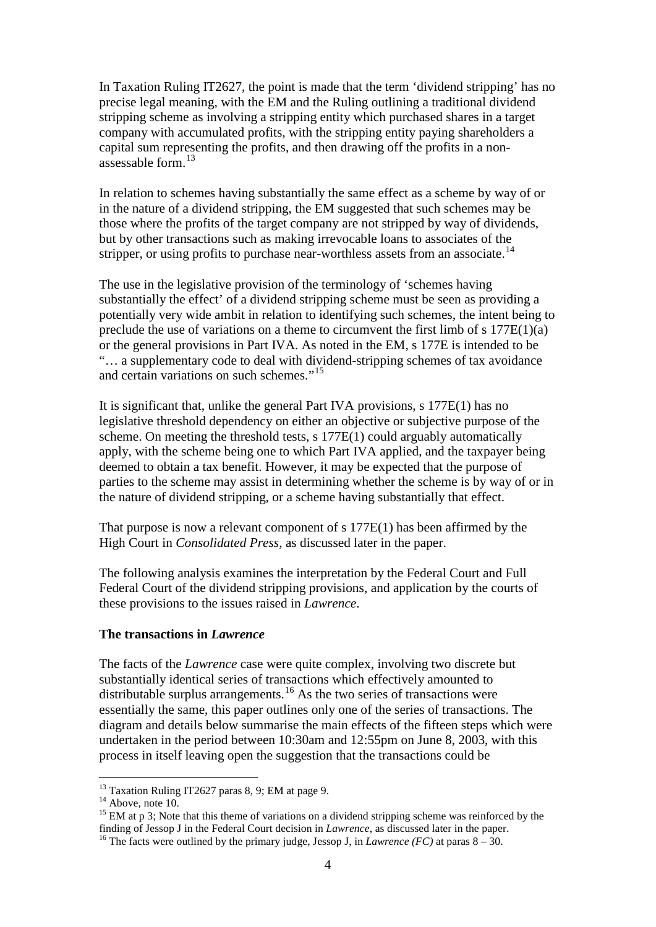In Taxation Ruling IT2627, the point is made that the term 'dividend stripping' has no precise legal meaning, with the EM and the Ruling outlining a traditional dividend stripping scheme as involving a stripping entity which purchased shares in a target company with accumulated profits, with the stripping entity paying shareholders a capital sum representing the profits, and then drawing off the profits in a nonassessable form.[13](#page-3-0)

In relation to schemes having substantially the same effect as a scheme by way of or in the nature of a dividend stripping, the EM suggested that such schemes may be those where the profits of the target company are not stripped by way of dividends, but by other transactions such as making irrevocable loans to associates of the stripper, or using profits to purchase near-worthless assets from an associate.<sup>[14](#page-3-1)</sup>

The use in the legislative provision of the terminology of 'schemes having substantially the effect' of a dividend stripping scheme must be seen as providing a potentially very wide ambit in relation to identifying such schemes, the intent being to preclude the use of variations on a theme to circumvent the first limb of s  $177E(1)(a)$ or the general provisions in Part IVA. As noted in the EM, s 177E is intended to be "… a supplementary code to deal with dividend-stripping schemes of tax avoidance and certain variations on such schemes."<sup>[15](#page-3-2)</sup>

It is significant that, unlike the general Part IVA provisions, s 177E(1) has no legislative threshold dependency on either an objective or subjective purpose of the scheme. On meeting the threshold tests, s 177E(1) could arguably automatically apply, with the scheme being one to which Part IVA applied, and the taxpayer being deemed to obtain a tax benefit. However, it may be expected that the purpose of parties to the scheme may assist in determining whether the scheme is by way of or in the nature of dividend stripping, or a scheme having substantially that effect.

That purpose is now a relevant component of s 177E(1) has been affirmed by the High Court in *Consolidated Press*, as discussed later in the paper.

The following analysis examines the interpretation by the Federal Court and Full Federal Court of the dividend stripping provisions, and application by the courts of these provisions to the issues raised in *Lawrence*.

#### **The transactions in** *Lawrence*

The facts of the *Lawrence* case were quite complex, involving two discrete but substantially identical series of transactions which effectively amounted to distributable surplus arrangements.<sup>[16](#page-3-3)</sup> As the two series of transactions were essentially the same, this paper outlines only one of the series of transactions. The diagram and details below summarise the main effects of the fifteen steps which were undertaken in the period between 10:30am and 12:55pm on June 8, 2003, with this process in itself leaving open the suggestion that the transactions could be

<span id="page-3-2"></span>

<span id="page-3-1"></span><span id="page-3-0"></span><sup>&</sup>lt;sup>13</sup> Taxation Ruling IT2627 paras 8, 9; EM at page 9.<br><sup>14</sup> Above, note 10.<br><sup>15</sup> EM at p 3; Note that this theme of variations on a dividend stripping scheme was reinforced by the<br>finding of Jessop J in the Federal Court d

<span id="page-3-3"></span><sup>&</sup>lt;sup>16</sup> The facts were outlined by the primary judge, Jessop J, in *Lawrence* (*FC*) at paras  $8 - 30$ .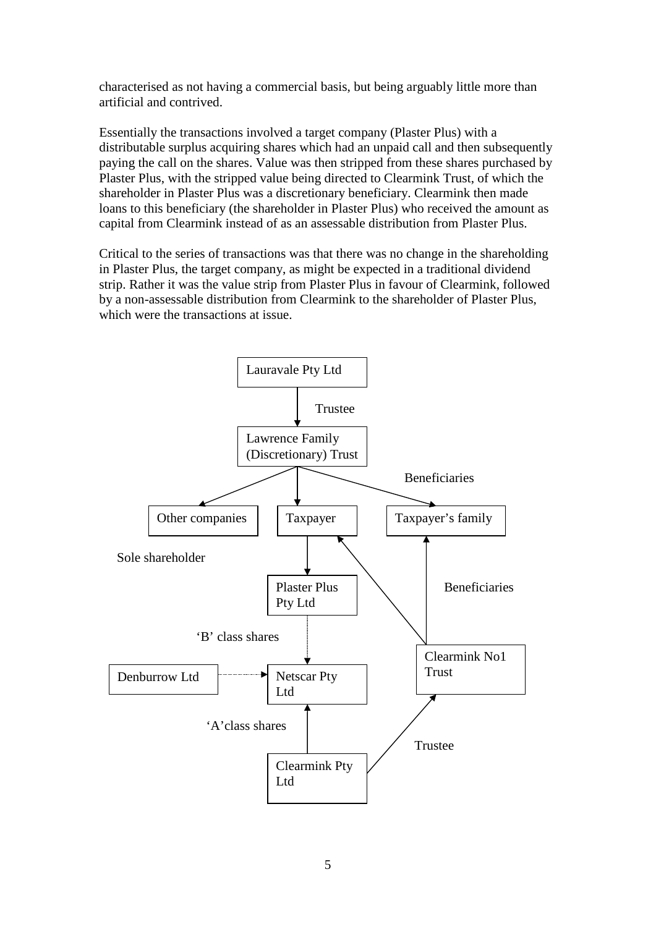characterised as not having a commercial basis, but being arguably little more than artificial and contrived.

Essentially the transactions involved a target company (Plaster Plus) with a distributable surplus acquiring shares which had an unpaid call and then subsequently paying the call on the shares. Value was then stripped from these shares purchased by Plaster Plus, with the stripped value being directed to Clearmink Trust, of which the shareholder in Plaster Plus was a discretionary beneficiary. Clearmink then made loans to this beneficiary (the shareholder in Plaster Plus) who received the amount as capital from Clearmink instead of as an assessable distribution from Plaster Plus.

Critical to the series of transactions was that there was no change in the shareholding in Plaster Plus, the target company, as might be expected in a traditional dividend strip. Rather it was the value strip from Plaster Plus in favour of Clearmink, followed by a non-assessable distribution from Clearmink to the shareholder of Plaster Plus, which were the transactions at issue.

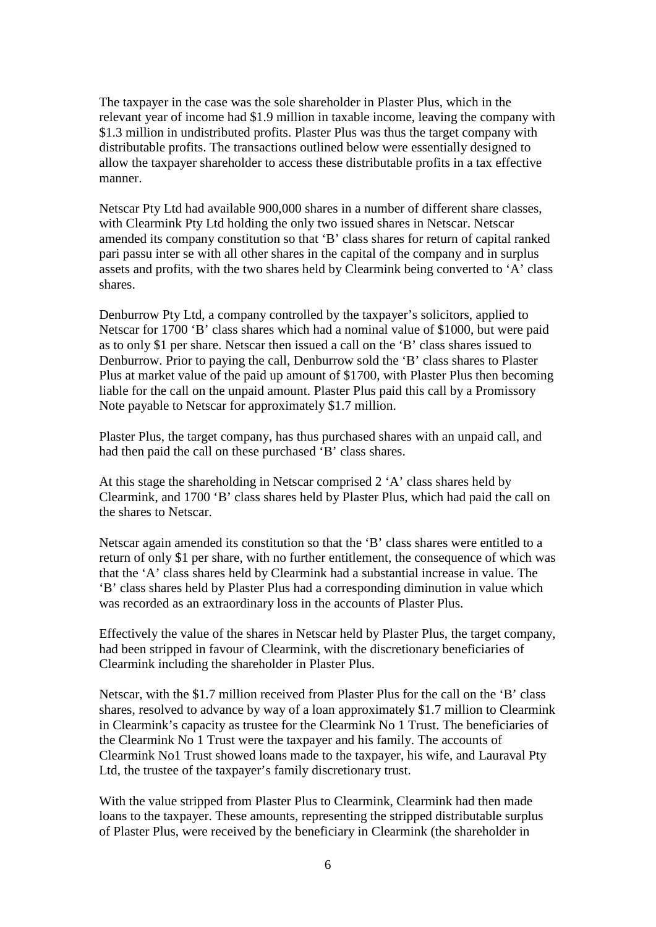The taxpayer in the case was the sole shareholder in Plaster Plus, which in the relevant year of income had \$1.9 million in taxable income, leaving the company with \$1.3 million in undistributed profits. Plaster Plus was thus the target company with distributable profits. The transactions outlined below were essentially designed to allow the taxpayer shareholder to access these distributable profits in a tax effective manner.

Netscar Pty Ltd had available 900,000 shares in a number of different share classes, with Clearmink Pty Ltd holding the only two issued shares in Netscar. Netscar amended its company constitution so that 'B' class shares for return of capital ranked pari passu inter se with all other shares in the capital of the company and in surplus assets and profits, with the two shares held by Clearmink being converted to 'A' class shares.

Denburrow Pty Ltd, a company controlled by the taxpayer's solicitors, applied to Netscar for 1700 'B' class shares which had a nominal value of \$1000, but were paid as to only \$1 per share. Netscar then issued a call on the 'B' class shares issued to Denburrow. Prior to paying the call, Denburrow sold the 'B' class shares to Plaster Plus at market value of the paid up amount of \$1700, with Plaster Plus then becoming liable for the call on the unpaid amount. Plaster Plus paid this call by a Promissory Note payable to Netscar for approximately \$1.7 million.

Plaster Plus, the target company, has thus purchased shares with an unpaid call, and had then paid the call on these purchased 'B' class shares.

At this stage the shareholding in Netscar comprised 2 'A' class shares held by Clearmink, and 1700 'B' class shares held by Plaster Plus, which had paid the call on the shares to Netscar.

Netscar again amended its constitution so that the 'B' class shares were entitled to a return of only \$1 per share, with no further entitlement, the consequence of which was that the 'A' class shares held by Clearmink had a substantial increase in value. The 'B' class shares held by Plaster Plus had a corresponding diminution in value which was recorded as an extraordinary loss in the accounts of Plaster Plus.

Effectively the value of the shares in Netscar held by Plaster Plus, the target company, had been stripped in favour of Clearmink, with the discretionary beneficiaries of Clearmink including the shareholder in Plaster Plus.

Netscar, with the \$1.7 million received from Plaster Plus for the call on the 'B' class shares, resolved to advance by way of a loan approximately \$1.7 million to Clearmink in Clearmink's capacity as trustee for the Clearmink No 1 Trust. The beneficiaries of the Clearmink No 1 Trust were the taxpayer and his family. The accounts of Clearmink No1 Trust showed loans made to the taxpayer, his wife, and Lauraval Pty Ltd, the trustee of the taxpayer's family discretionary trust.

With the value stripped from Plaster Plus to Clearmink, Clearmink had then made loans to the taxpayer. These amounts, representing the stripped distributable surplus of Plaster Plus, were received by the beneficiary in Clearmink (the shareholder in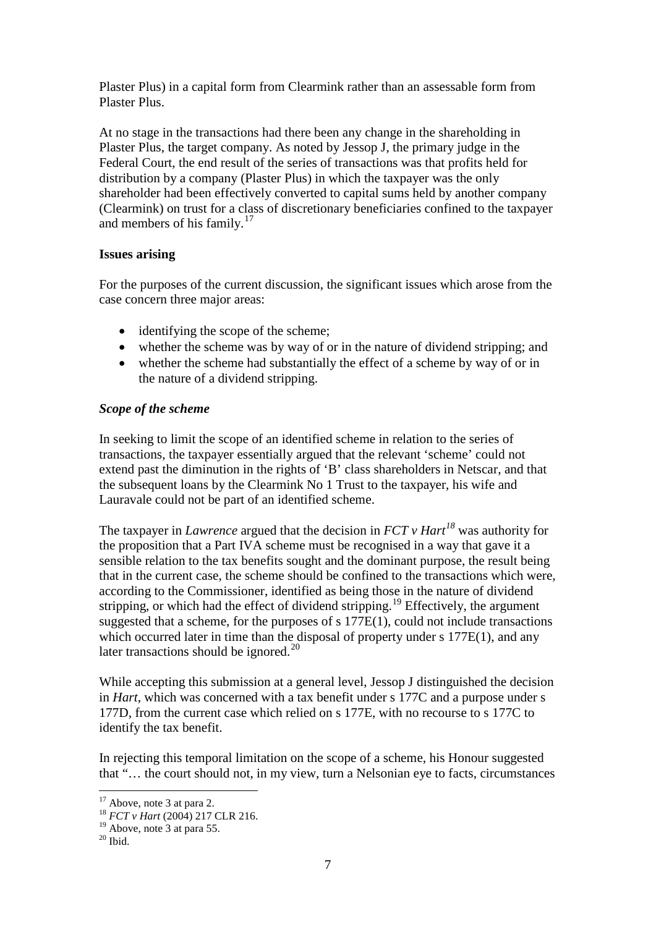Plaster Plus) in a capital form from Clearmink rather than an assessable form from Plaster Plus.

At no stage in the transactions had there been any change in the shareholding in Plaster Plus, the target company. As noted by Jessop J, the primary judge in the Federal Court, the end result of the series of transactions was that profits held for distribution by a company (Plaster Plus) in which the taxpayer was the only shareholder had been effectively converted to capital sums held by another company (Clearmink) on trust for a class of discretionary beneficiaries confined to the taxpayer and members of his family. $17$ 

## **Issues arising**

For the purposes of the current discussion, the significant issues which arose from the case concern three major areas:

- identifying the scope of the scheme;
- whether the scheme was by way of or in the nature of dividend stripping; and
- whether the scheme had substantially the effect of a scheme by way of or in the nature of a dividend stripping.

## *Scope of the scheme*

In seeking to limit the scope of an identified scheme in relation to the series of transactions, the taxpayer essentially argued that the relevant 'scheme' could not extend past the diminution in the rights of 'B' class shareholders in Netscar, and that the subsequent loans by the Clearmink No 1 Trust to the taxpayer, his wife and Lauravale could not be part of an identified scheme.

The taxpayer in *Lawrence* argued that the decision in *FCT v Hart[18](#page-6-1)* was authority for the proposition that a Part IVA scheme must be recognised in a way that gave it a sensible relation to the tax benefits sought and the dominant purpose, the result being that in the current case, the scheme should be confined to the transactions which were, according to the Commissioner, identified as being those in the nature of dividend stripping, or which had the effect of dividend stripping.<sup>[19](#page-6-2)</sup> Effectively, the argument suggested that a scheme, for the purposes of s 177E(1), could not include transactions which occurred later in time than the disposal of property under s 177E(1), and any later transactions should be ignored.<sup>[20](#page-6-3)</sup>

While accepting this submission at a general level, Jessop J distinguished the decision in *Hart*, which was concerned with a tax benefit under s 177C and a purpose under s 177D, from the current case which relied on s 177E, with no recourse to s 177C to identify the tax benefit.

In rejecting this temporal limitation on the scope of a scheme, his Honour suggested that "… the court should not, in my view, turn a Nelsonian eye to facts, circumstances

<span id="page-6-0"></span><sup>&</sup>lt;sup>17</sup> Above, note 3 at para 2.<br><sup>18</sup> *FCT v Hart* (2004) 217 CLR 216.

<span id="page-6-2"></span><span id="page-6-1"></span><sup>&</sup>lt;sup>19</sup> Above, note 3 at para 55.<br><sup>20</sup> Ibid.

<span id="page-6-3"></span>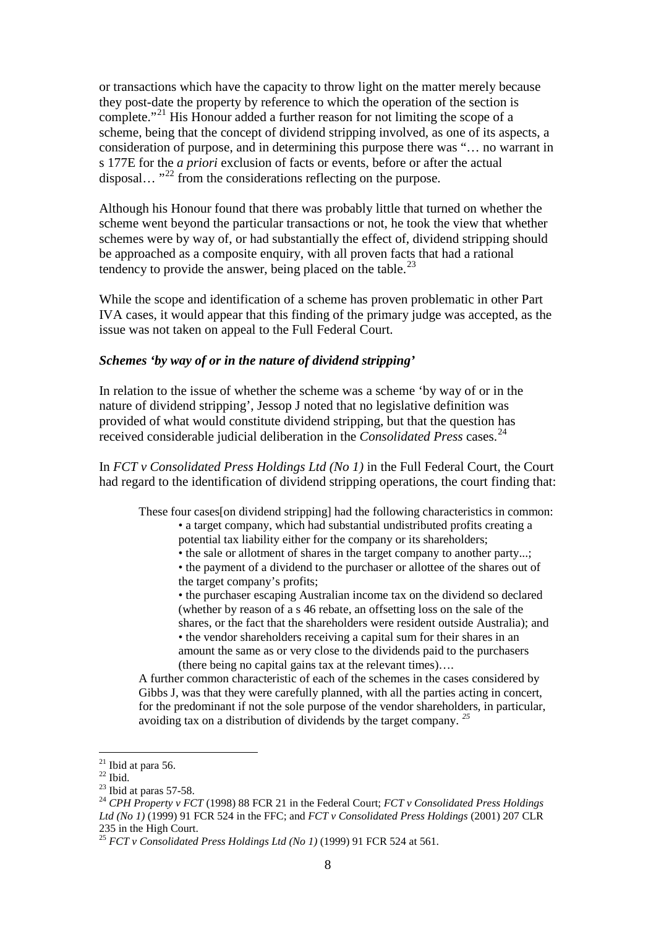or transactions which have the capacity to throw light on the matter merely because they post-date the property by reference to which the operation of the section is complete."<sup>[21](#page-7-0)</sup> His Honour added a further reason for not limiting the scope of a scheme, being that the concept of dividend stripping involved, as one of its aspects, a consideration of purpose, and in determining this purpose there was "… no warrant in s 177E for the *a priori* exclusion of facts or events, before or after the actual disposal...  $^{32}$  from the considerations reflecting on the purpose.

Although his Honour found that there was probably little that turned on whether the scheme went beyond the particular transactions or not, he took the view that whether schemes were by way of, or had substantially the effect of, dividend stripping should be approached as a composite enquiry, with all proven facts that had a rational tendency to provide the answer, being placed on the table.<sup>[23](#page-7-2)</sup>

While the scope and identification of a scheme has proven problematic in other Part IVA cases, it would appear that this finding of the primary judge was accepted, as the issue was not taken on appeal to the Full Federal Court.

#### *Schemes 'by way of or in the nature of dividend stripping'*

In relation to the issue of whether the scheme was a scheme 'by way of or in the nature of dividend stripping', Jessop J noted that no legislative definition was provided of what would constitute dividend stripping, but that the question has received considerable judicial deliberation in the *Consolidated Press* cases. [24](#page-7-3)

In *FCT v Consolidated Press Holdings Ltd (No 1)* in the Full Federal Court, the Court had regard to the identification of dividend stripping operations, the court finding that:

These four cases[on dividend stripping] had the following characteristics in common:

• a target company, which had substantial undistributed profits creating a potential tax liability either for the company or its shareholders;

• the sale or allotment of shares in the target company to another party...;

• the payment of a dividend to the purchaser or allottee of the shares out of the target company's profits;

• the purchaser escaping Australian income tax on the dividend so declared (whether by reason of a s 46 rebate, an offsetting loss on the sale of the shares, or the fact that the shareholders were resident outside Australia); and

• the vendor shareholders receiving a capital sum for their shares in an amount the same as or very close to the dividends paid to the purchasers (there being no capital gains tax at the relevant times)….

A further common characteristic of each of the schemes in the cases considered by Gibbs J, was that they were carefully planned, with all the parties acting in concert, for the predominant if not the sole purpose of the vendor shareholders, in particular, avoiding tax on a distribution of dividends by the target company. *[25](#page-7-4)*

<span id="page-7-3"></span><span id="page-7-2"></span>

<span id="page-7-1"></span><span id="page-7-0"></span><sup>&</sup>lt;sup>21</sup> Ibid at para 56.<br><sup>22</sup> Ibid. 23 Ibid at paras 57-58.<br><sup>23</sup> CPH Property v FCT (1998) 88 FCR 21 in the Federal Court; *FCT v Consolidated Press Holdings Ltd (No 1)* (1999) 91 FCR 524 in the FFC; and *FCT v Consolidated Press Holdings* (2001) 207 CLR 235 in the High Court.

<span id="page-7-4"></span><sup>25</sup> *FCT v Consolidated Press Holdings Ltd (No 1)* (1999) 91 FCR 524 at 561.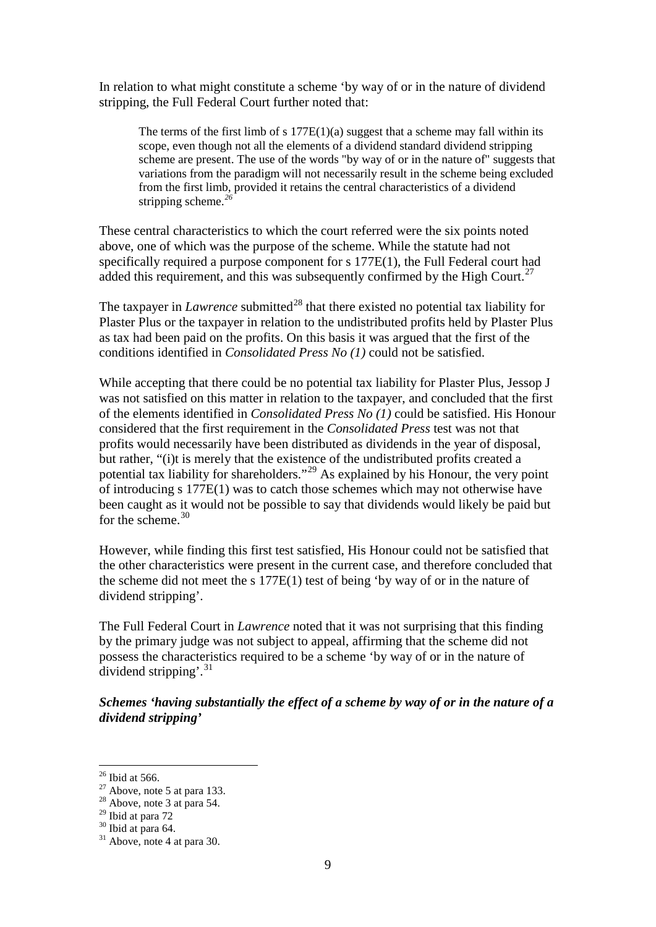In relation to what might constitute a scheme 'by way of or in the nature of dividend stripping, the Full Federal Court further noted that:

The terms of the first limb of s  $177E(1)(a)$  suggest that a scheme may fall within its scope, even though not all the elements of a dividend standard dividend stripping scheme are present. The use of the words "by way of or in the nature of" suggests that variations from the paradigm will not necessarily result in the scheme being excluded from the first limb, provided it retains the central characteristics of a dividend stripping scheme.*[26](#page-8-0)*

These central characteristics to which the court referred were the six points noted above, one of which was the purpose of the scheme. While the statute had not specifically required a purpose component for s 177E(1), the Full Federal court had added this requirement, and this was subsequently confirmed by the High Court.<sup>[27](#page-8-1)</sup>

The taxpayer in *Lawrence* submitted<sup>[28](#page-8-2)</sup> that there existed no potential tax liability for Plaster Plus or the taxpayer in relation to the undistributed profits held by Plaster Plus as tax had been paid on the profits. On this basis it was argued that the first of the conditions identified in *Consolidated Press No (1)* could not be satisfied.

While accepting that there could be no potential tax liability for Plaster Plus, Jessop J was not satisfied on this matter in relation to the taxpayer, and concluded that the first of the elements identified in *Consolidated Press No (1)* could be satisfied. His Honour considered that the first requirement in the *Consolidated Press* test was not that profits would necessarily have been distributed as dividends in the year of disposal, but rather, "(i)t is merely that the existence of the undistributed profits created a potential tax liability for shareholders."[29](#page-8-3) As explained by his Honour, the very point of introducing s 177E(1) was to catch those schemes which may not otherwise have been caught as it would not be possible to say that dividends would likely be paid but for the scheme.  $30$ 

However, while finding this first test satisfied, His Honour could not be satisfied that the other characteristics were present in the current case, and therefore concluded that the scheme did not meet the s  $177E(1)$  test of being 'by way of or in the nature of dividend stripping'.

The Full Federal Court in *Lawrence* noted that it was not surprising that this finding by the primary judge was not subject to appeal, affirming that the scheme did not possess the characteristics required to be a scheme 'by way of or in the nature of dividend stripping'. $31$ 

*Schemes 'having substantially the effect of a scheme by way of or in the nature of a dividend stripping'*

<span id="page-8-1"></span><span id="page-8-0"></span><sup>&</sup>lt;sup>26</sup> Ibid at 566.<br><sup>27</sup> Above, note 5 at para 133.<br><sup>28</sup> Above, note 3 at para 54.<br><sup>29</sup> Ibid at para 72

<span id="page-8-2"></span>

<span id="page-8-5"></span><span id="page-8-4"></span><span id="page-8-3"></span> $\frac{30}{31}$  Ibid at para 64.<br> $\frac{31}{31}$  Above, note 4 at para 30.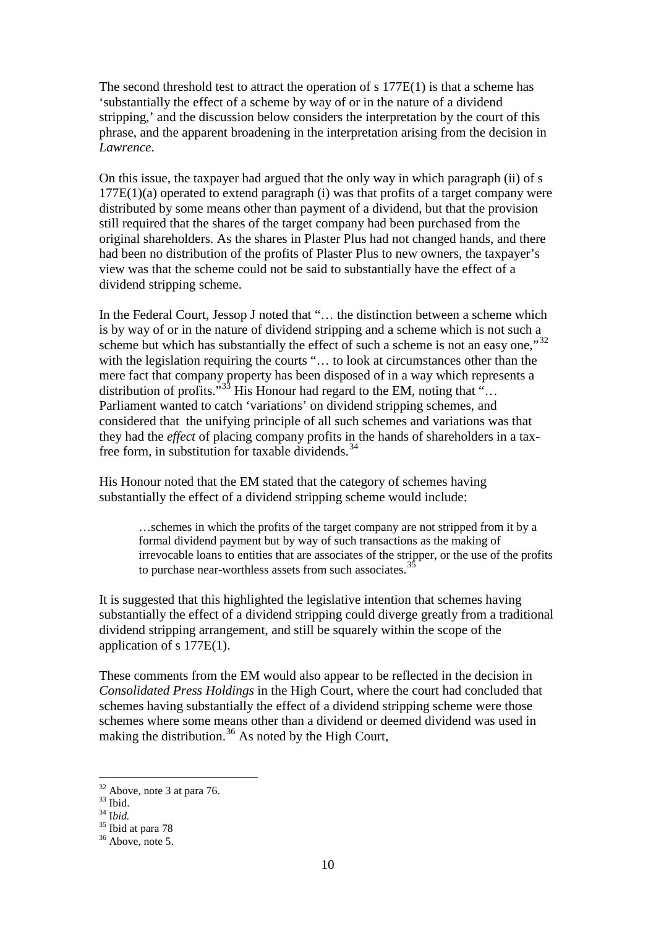The second threshold test to attract the operation of s 177E(1) is that a scheme has 'substantially the effect of a scheme by way of or in the nature of a dividend stripping,' and the discussion below considers the interpretation by the court of this phrase, and the apparent broadening in the interpretation arising from the decision in *Lawrence*.

On this issue, the taxpayer had argued that the only way in which paragraph (ii) of s  $177E(1)(a)$  operated to extend paragraph (i) was that profits of a target company were distributed by some means other than payment of a dividend, but that the provision still required that the shares of the target company had been purchased from the original shareholders. As the shares in Plaster Plus had not changed hands, and there had been no distribution of the profits of Plaster Plus to new owners, the taxpayer's view was that the scheme could not be said to substantially have the effect of a dividend stripping scheme.

In the Federal Court, Jessop J noted that "… the distinction between a scheme which is by way of or in the nature of dividend stripping and a scheme which is not such a scheme but which has substantially the effect of such a scheme is not an easy one,<sup>[32](#page-9-0)</sup> with the legislation requiring the courts "... to look at circumstances other than the mere fact that company property has been disposed of in a way which represents a distribution of profits."<sup>[33](#page-9-1)</sup> His Honour had regard to the EM, noting that  $\cdots$ ... Parliament wanted to catch 'variations' on dividend stripping schemes, and considered that the unifying principle of all such schemes and variations was that they had the *effect* of placing company profits in the hands of shareholders in a tax-free form, in substitution for taxable dividends.<sup>[34](#page-9-2)</sup>

His Honour noted that the EM stated that the category of schemes having substantially the effect of a dividend stripping scheme would include:

> …schemes in which the profits of the target company are not stripped from it by a formal dividend payment but by way of such transactions as the making of irrevocable loans to entities that are associates of the stripper, or the use of the profits to purchase near-worthless assets from such associates.<sup>3</sup>

It is suggested that this highlighted the legislative intention that schemes having substantially the effect of a dividend stripping could diverge greatly from a traditional dividend stripping arrangement, and still be squarely within the scope of the application of s 177E(1).

These comments from the EM would also appear to be reflected in the decision in *Consolidated Press Holdings* in the High Court, where the court had concluded that schemes having substantially the effect of a dividend stripping scheme were those schemes where some means other than a dividend or deemed dividend was used in making the distribution.<sup>[36](#page-9-4)</sup> As noted by the High Court,

<span id="page-9-1"></span><span id="page-9-0"></span><sup>&</sup>lt;sup>32</sup> Above, note 3 at para 76.<br><sup>33</sup> Ibid.<br><sup>34</sup> Ibid. 35 Ibid at para 78<br><sup>36</sup> Above, note 5.

<span id="page-9-2"></span>

<span id="page-9-3"></span>

<span id="page-9-4"></span>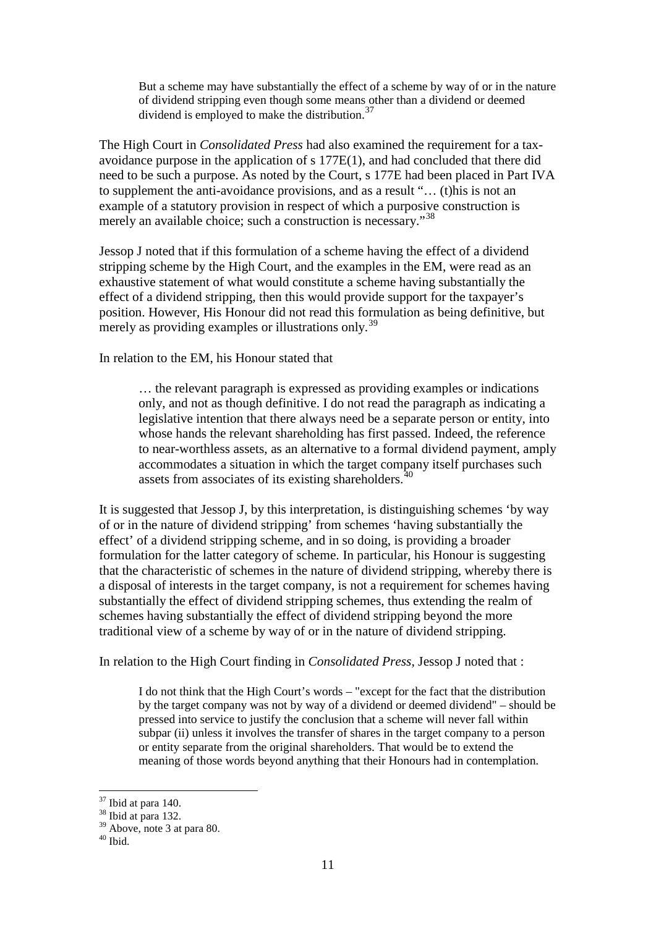But a scheme may have substantially the effect of a scheme by way of or in the nature of dividend stripping even though some means other than a dividend or deemed dividend is employed to make the distribution.<sup>[37](#page-10-0)</sup>

The High Court in *Consolidated Press* had also examined the requirement for a taxavoidance purpose in the application of s 177E(1), and had concluded that there did need to be such a purpose. As noted by the Court, s 177E had been placed in Part IVA to supplement the anti-avoidance provisions, and as a result "… (t)his is not an example of a statutory provision in respect of which a purposive construction is merely an available choice; such a construction is necessary."<sup>[38](#page-10-1)</sup>

Jessop J noted that if this formulation of a scheme having the effect of a dividend stripping scheme by the High Court, and the examples in the EM, were read as an exhaustive statement of what would constitute a scheme having substantially the effect of a dividend stripping, then this would provide support for the taxpayer's position. However, His Honour did not read this formulation as being definitive, but merely as providing examples or illustrations only.<sup>[39](#page-10-2)</sup>

In relation to the EM, his Honour stated that

… the relevant paragraph is expressed as providing examples or indications only, and not as though definitive. I do not read the paragraph as indicating a legislative intention that there always need be a separate person or entity, into whose hands the relevant shareholding has first passed. Indeed, the reference to near-worthless assets, as an alternative to a formal dividend payment, amply accommodates a situation in which the target company itself purchases such assets from associates of its existing shareholders. $40$ 

It is suggested that Jessop J, by this interpretation, is distinguishing schemes 'by way of or in the nature of dividend stripping' from schemes 'having substantially the effect' of a dividend stripping scheme, and in so doing, is providing a broader formulation for the latter category of scheme. In particular, his Honour is suggesting that the characteristic of schemes in the nature of dividend stripping, whereby there is a disposal of interests in the target company, is not a requirement for schemes having substantially the effect of dividend stripping schemes, thus extending the realm of schemes having substantially the effect of dividend stripping beyond the more traditional view of a scheme by way of or in the nature of dividend stripping.

In relation to the High Court finding in *Consolidated Press*, Jessop J noted that :

I do not think that the High Court's words – "except for the fact that the distribution by the target company was not by way of a dividend or deemed dividend" – should be pressed into service to justify the conclusion that a scheme will never fall within subpar (ii) unless it involves the transfer of shares in the target company to a person or entity separate from the original shareholders. That would be to extend the meaning of those words beyond anything that their Honours had in contemplation.

<span id="page-10-0"></span> $\frac{37}{38}$  Ibid at para 140.<br> $\frac{38}{36}$  Ibid at para 132.

<span id="page-10-2"></span><span id="page-10-1"></span> $39$  Above, note 3 at para 80.<br> $40$  Ibid.

<span id="page-10-3"></span>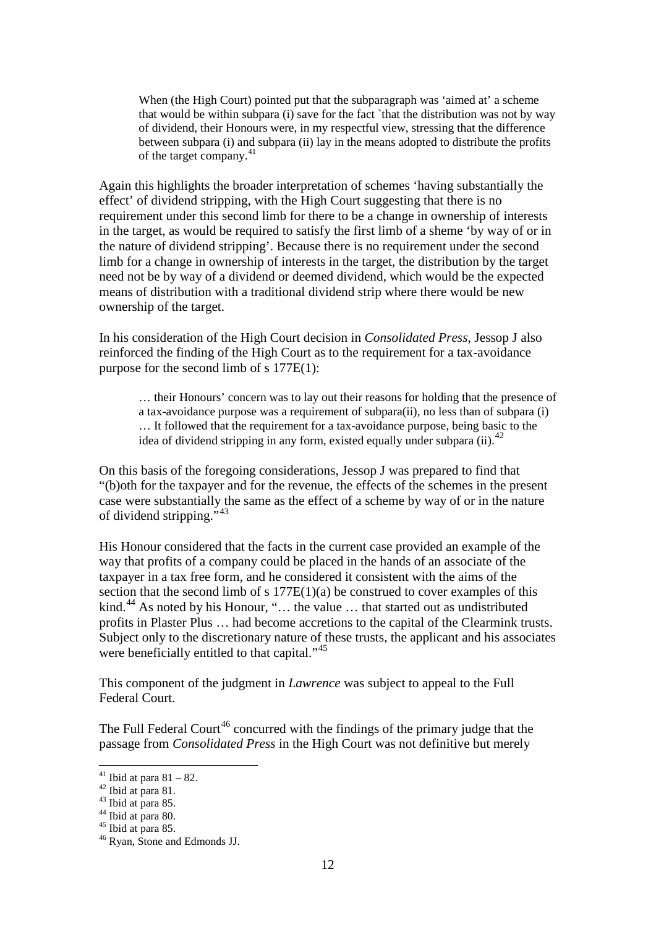When (the High Court) pointed put that the subparagraph was 'aimed at' a scheme that would be within subpara (i) save for the fact `that the distribution was not by way of dividend, their Honours were, in my respectful view, stressing that the difference between subpara (i) and subpara (ii) lay in the means adopted to distribute the profits of the target company.[41](#page-11-0)

Again this highlights the broader interpretation of schemes 'having substantially the effect' of dividend stripping, with the High Court suggesting that there is no requirement under this second limb for there to be a change in ownership of interests in the target, as would be required to satisfy the first limb of a sheme 'by way of or in the nature of dividend stripping'. Because there is no requirement under the second limb for a change in ownership of interests in the target, the distribution by the target need not be by way of a dividend or deemed dividend, which would be the expected means of distribution with a traditional dividend strip where there would be new ownership of the target.

In his consideration of the High Court decision in *Consolidated Press*, Jessop J also reinforced the finding of the High Court as to the requirement for a tax-avoidance purpose for the second limb of s 177E(1):

… their Honours' concern was to lay out their reasons for holding that the presence of a tax-avoidance purpose was a requirement of subpara(ii), no less than of subpara (i) … It followed that the requirement for a tax-avoidance purpose, being basic to the idea of dividend stripping in any form, existed equally under subpara (ii).<sup>[42](#page-11-1)</sup>

On this basis of the foregoing considerations, Jessop J was prepared to find that "(b)oth for the taxpayer and for the revenue, the effects of the schemes in the present case were substantially the same as the effect of a scheme by way of or in the nature of dividend stripping.",[43](#page-11-2)

His Honour considered that the facts in the current case provided an example of the way that profits of a company could be placed in the hands of an associate of the taxpayer in a tax free form, and he considered it consistent with the aims of the section that the second limb of s  $177E(1)(a)$  be construed to cover examples of this kind.<sup>[44](#page-11-3)</sup> As noted by his Honour, "... the value ... that started out as undistributed profits in Plaster Plus … had become accretions to the capital of the Clearmink trusts. Subject only to the discretionary nature of these trusts, the applicant and his associates were beneficially entitled to that capital."<sup>[45](#page-11-4)</sup>

This component of the judgment in *Lawrence* was subject to appeal to the Full Federal Court.

The Full Federal Court<sup>[46](#page-11-5)</sup> concurred with the findings of the primary judge that the passage from *Consolidated Press* in the High Court was not definitive but merely

<span id="page-11-3"></span><span id="page-11-2"></span>

<span id="page-11-5"></span><span id="page-11-4"></span>

<span id="page-11-1"></span><span id="page-11-0"></span><sup>&</sup>lt;sup>41</sup> Ibid at para 81 – 82.<br><sup>42</sup> Ibid at para 81.<br><sup>43</sup> Ibid at para 85.<br><sup>45</sup> Ibid at para 85.<br><sup>46</sup> Ryan, Stone and Edmonds JJ.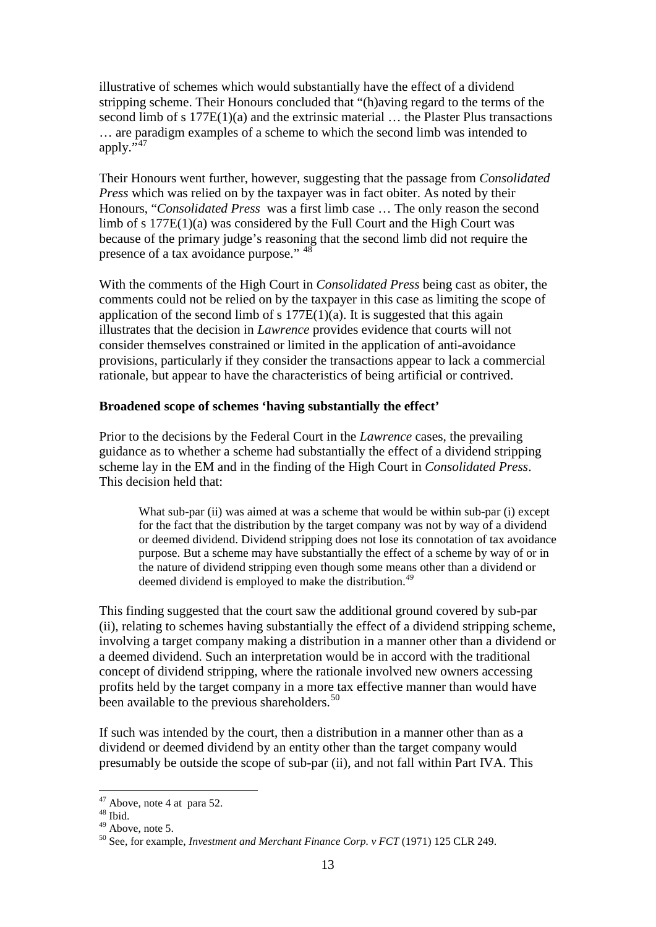illustrative of schemes which would substantially have the effect of a dividend stripping scheme. Their Honours concluded that "(h)aving regard to the terms of the second limb of s 177E(1)(a) and the extrinsic material … the Plaster Plus transactions … are paradigm examples of a scheme to which the second limb was intended to apply."<sup>[47](#page-12-0)</sup>

Their Honours went further, however, suggesting that the passage from *Consolidated Press* which was relied on by the taxpayer was in fact obiter. As noted by their Honours, "*Consolidated Press* was a first limb case … The only reason the second limb of s 177E(1)(a) was considered by the Full Court and the High Court was because of the primary judge's reasoning that the second limb did not require the presence of a tax avoidance purpose." [48](#page-12-1)

With the comments of the High Court in *Consolidated Press* being cast as obiter, the comments could not be relied on by the taxpayer in this case as limiting the scope of application of the second limb of s  $177E(1)(a)$ . It is suggested that this again illustrates that the decision in *Lawrence* provides evidence that courts will not consider themselves constrained or limited in the application of anti-avoidance provisions, particularly if they consider the transactions appear to lack a commercial rationale, but appear to have the characteristics of being artificial or contrived.

## **Broadened scope of schemes 'having substantially the effect'**

Prior to the decisions by the Federal Court in the *Lawrence* cases, the prevailing guidance as to whether a scheme had substantially the effect of a dividend stripping scheme lay in the EM and in the finding of the High Court in *Consolidated Press*. This decision held that:

What sub-par (ii) was aimed at was a scheme that would be within sub-par (i) except for the fact that the distribution by the target company was not by way of a dividend or deemed dividend. Dividend stripping does not lose its connotation of tax avoidance purpose. But a scheme may have substantially the effect of a scheme by way of or in the nature of dividend stripping even though some means other than a dividend or deemed dividend is employed to make the distribution.*[49](#page-12-2)*

This finding suggested that the court saw the additional ground covered by sub-par (ii), relating to schemes having substantially the effect of a dividend stripping scheme, involving a target company making a distribution in a manner other than a dividend or a deemed dividend. Such an interpretation would be in accord with the traditional concept of dividend stripping, where the rationale involved new owners accessing profits held by the target company in a more tax effective manner than would have been available to the previous shareholders.<sup>[50](#page-12-3)</sup>

If such was intended by the court, then a distribution in a manner other than as a dividend or deemed dividend by an entity other than the target company would presumably be outside the scope of sub-par (ii), and not fall within Part IVA. This

<span id="page-12-1"></span><span id="page-12-0"></span><sup>&</sup>lt;sup>47</sup> Above, note 4 at para 52.<br><sup>48</sup> Ibid.<br><sup>49</sup> Above, note 5.

<span id="page-12-3"></span><span id="page-12-2"></span><sup>&</sup>lt;sup>50</sup> See, for example, *Investment and Merchant Finance Corp. v FCT* (1971) 125 CLR 249.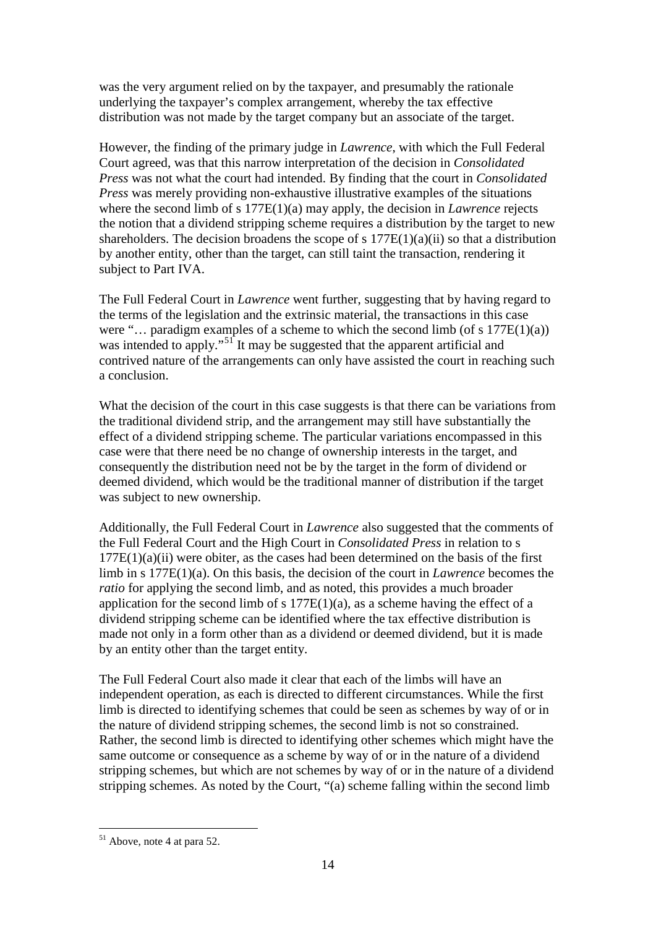was the very argument relied on by the taxpayer, and presumably the rationale underlying the taxpayer's complex arrangement, whereby the tax effective distribution was not made by the target company but an associate of the target.

However, the finding of the primary judge in *Lawrence*, with which the Full Federal Court agreed, was that this narrow interpretation of the decision in *Consolidated Press* was not what the court had intended. By finding that the court in *Consolidated Press* was merely providing non-exhaustive illustrative examples of the situations where the second limb of s 177E(1)(a) may apply, the decision in *Lawrence* rejects the notion that a dividend stripping scheme requires a distribution by the target to new shareholders. The decision broadens the scope of s  $177E(1)(a)(ii)$  so that a distribution by another entity, other than the target, can still taint the transaction, rendering it subject to Part IVA.

The Full Federal Court in *Lawrence* went further, suggesting that by having regard to the terms of the legislation and the extrinsic material, the transactions in this case were "... paradigm examples of a scheme to which the second limb (of s  $177E(1)(a)$ ) was intended to apply."<sup>[51](#page-13-0)</sup> It may be suggested that the apparent artificial and contrived nature of the arrangements can only have assisted the court in reaching such a conclusion.

What the decision of the court in this case suggests is that there can be variations from the traditional dividend strip, and the arrangement may still have substantially the effect of a dividend stripping scheme. The particular variations encompassed in this case were that there need be no change of ownership interests in the target, and consequently the distribution need not be by the target in the form of dividend or deemed dividend, which would be the traditional manner of distribution if the target was subject to new ownership.

Additionally, the Full Federal Court in *Lawrence* also suggested that the comments of the Full Federal Court and the High Court in *Consolidated Press* in relation to s  $177E(1)(a)(ii)$  were obiter, as the cases had been determined on the basis of the first limb in s 177E(1)(a). On this basis, the decision of the court in *Lawrence* becomes the *ratio* for applying the second limb, and as noted, this provides a much broader application for the second limb of s  $177E(1)(a)$ , as a scheme having the effect of a dividend stripping scheme can be identified where the tax effective distribution is made not only in a form other than as a dividend or deemed dividend, but it is made by an entity other than the target entity.

The Full Federal Court also made it clear that each of the limbs will have an independent operation, as each is directed to different circumstances. While the first limb is directed to identifying schemes that could be seen as schemes by way of or in the nature of dividend stripping schemes, the second limb is not so constrained. Rather, the second limb is directed to identifying other schemes which might have the same outcome or consequence as a scheme by way of or in the nature of a dividend stripping schemes, but which are not schemes by way of or in the nature of a dividend stripping schemes. As noted by the Court, "(a) scheme falling within the second limb

<span id="page-13-0"></span> <sup>51</sup> Above, note 4 at para 52.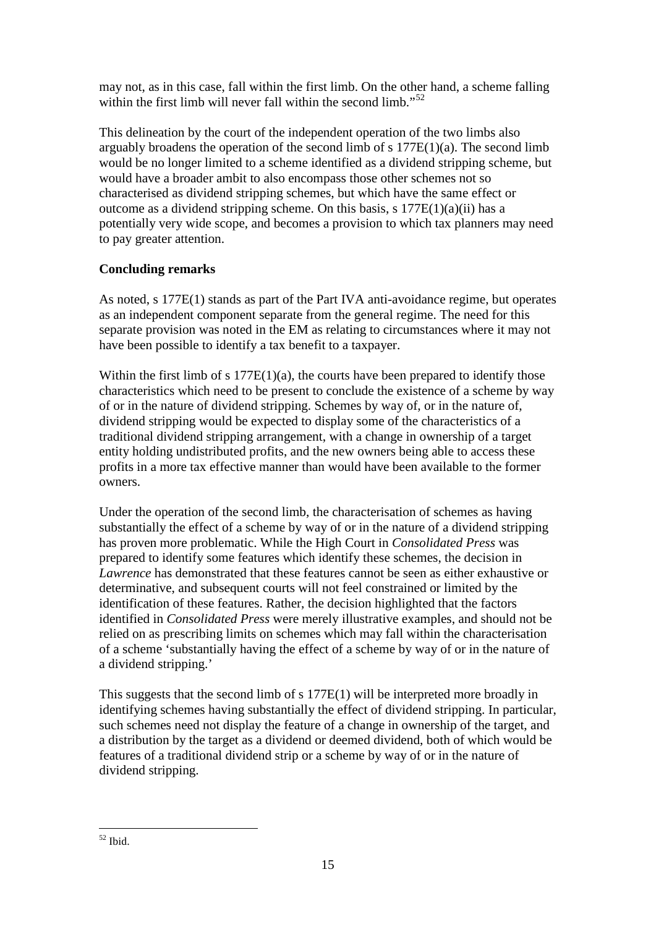may not, as in this case, fall within the first limb. On the other hand, a scheme falling within the first limb will never fall within the second limb."<sup>[52](#page-14-0)</sup>

This delineation by the court of the independent operation of the two limbs also arguably broadens the operation of the second limb of s  $177E(1)(a)$ . The second limb would be no longer limited to a scheme identified as a dividend stripping scheme, but would have a broader ambit to also encompass those other schemes not so characterised as dividend stripping schemes, but which have the same effect or outcome as a dividend stripping scheme. On this basis, s 177E(1)(a)(ii) has a potentially very wide scope, and becomes a provision to which tax planners may need to pay greater attention.

# **Concluding remarks**

As noted, s 177E(1) stands as part of the Part IVA anti-avoidance regime, but operates as an independent component separate from the general regime. The need for this separate provision was noted in the EM as relating to circumstances where it may not have been possible to identify a tax benefit to a taxpayer.

Within the first limb of s  $177E(1)(a)$ , the courts have been prepared to identify those characteristics which need to be present to conclude the existence of a scheme by way of or in the nature of dividend stripping. Schemes by way of, or in the nature of, dividend stripping would be expected to display some of the characteristics of a traditional dividend stripping arrangement, with a change in ownership of a target entity holding undistributed profits, and the new owners being able to access these profits in a more tax effective manner than would have been available to the former owners.

Under the operation of the second limb, the characterisation of schemes as having substantially the effect of a scheme by way of or in the nature of a dividend stripping has proven more problematic. While the High Court in *Consolidated Press* was prepared to identify some features which identify these schemes, the decision in *Lawrence* has demonstrated that these features cannot be seen as either exhaustive or determinative, and subsequent courts will not feel constrained or limited by the identification of these features. Rather, the decision highlighted that the factors identified in *Consolidated Press* were merely illustrative examples, and should not be relied on as prescribing limits on schemes which may fall within the characterisation of a scheme 'substantially having the effect of a scheme by way of or in the nature of a dividend stripping.'

This suggests that the second limb of s 177E(1) will be interpreted more broadly in identifying schemes having substantially the effect of dividend stripping. In particular, such schemes need not display the feature of a change in ownership of the target, and a distribution by the target as a dividend or deemed dividend, both of which would be features of a traditional dividend strip or a scheme by way of or in the nature of dividend stripping.

<span id="page-14-0"></span> $52$  Ibid.